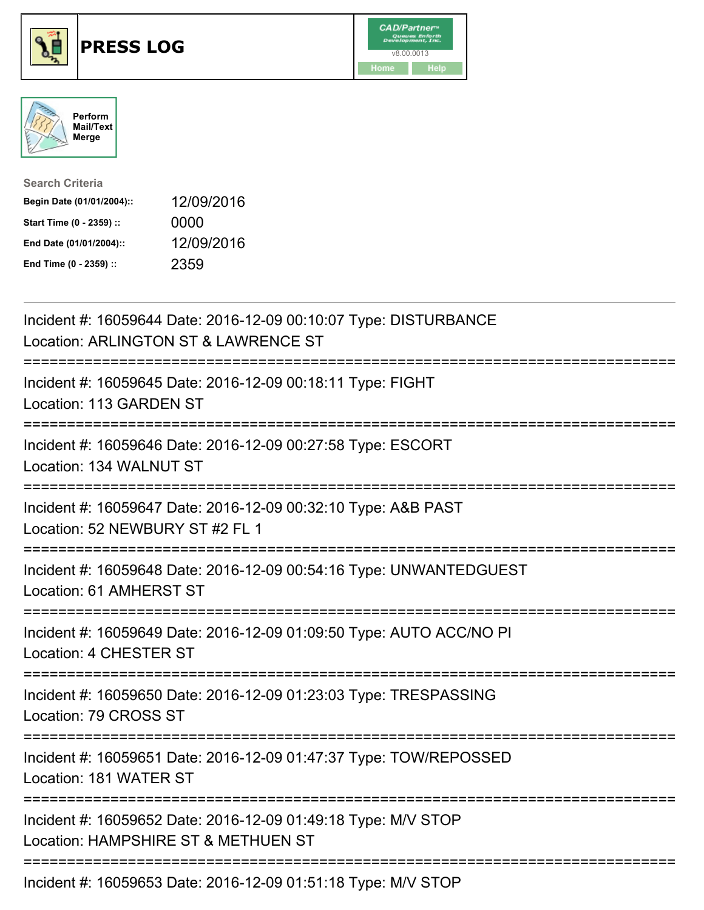





| <b>Search Criteria</b>    |            |
|---------------------------|------------|
| Begin Date (01/01/2004):: | 12/09/2016 |
| Start Time (0 - 2359) ::  | 0000       |
| End Date (01/01/2004)::   | 12/09/2016 |
| End Time (0 - 2359) ::    | 2359       |

| Incident #: 16059644 Date: 2016-12-09 00:10:07 Type: DISTURBANCE<br>Location: ARLINGTON ST & LAWRENCE ST                                |
|-----------------------------------------------------------------------------------------------------------------------------------------|
| Incident #: 16059645 Date: 2016-12-09 00:18:11 Type: FIGHT<br>Location: 113 GARDEN ST                                                   |
| Incident #: 16059646 Date: 2016-12-09 00:27:58 Type: ESCORT<br>Location: 134 WALNUT ST                                                  |
| Incident #: 16059647 Date: 2016-12-09 00:32:10 Type: A&B PAST<br>Location: 52 NEWBURY ST #2 FL 1                                        |
| Incident #: 16059648 Date: 2016-12-09 00:54:16 Type: UNWANTEDGUEST<br>Location: 61 AMHERST ST                                           |
| Incident #: 16059649 Date: 2016-12-09 01:09:50 Type: AUTO ACC/NO PI<br>Location: 4 CHESTER ST<br>:===================================== |
| Incident #: 16059650 Date: 2016-12-09 01:23:03 Type: TRESPASSING<br>Location: 79 CROSS ST                                               |
| Incident #: 16059651 Date: 2016-12-09 01:47:37 Type: TOW/REPOSSED<br>Location: 181 WATER ST                                             |
| Incident #: 16059652 Date: 2016-12-09 01:49:18 Type: M/V STOP<br>Location: HAMPSHIRE ST & METHUEN ST                                    |
| Incident #: 16059653 Date: 2016-12-09 01:51:18 Type: M/V STOP                                                                           |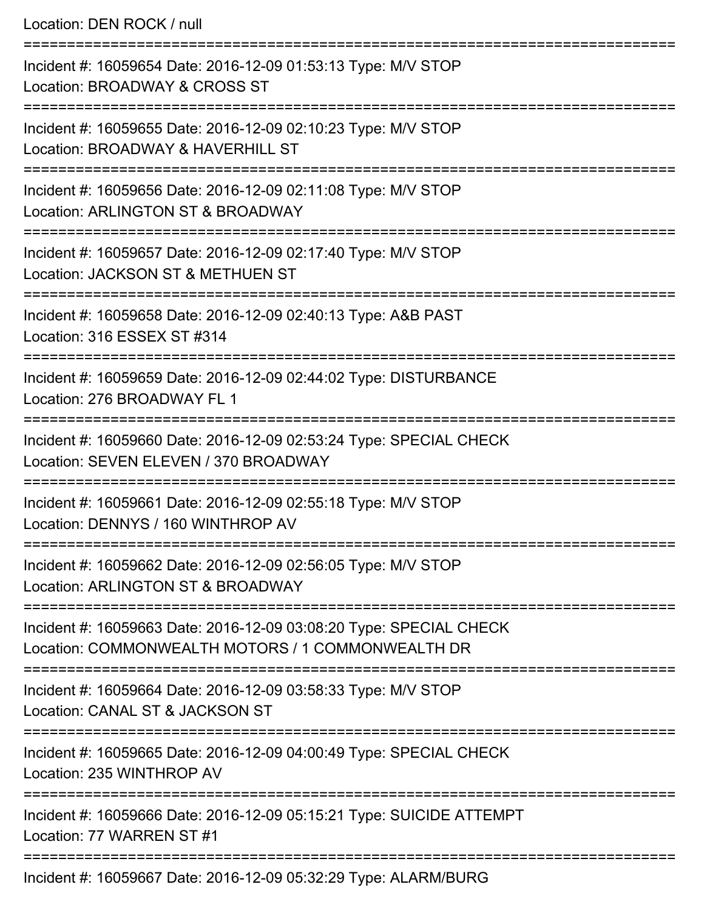Location: DEN ROCK / null

| Incident #: 16059654 Date: 2016-12-09 01:53:13 Type: M/V STOP<br>Location: BROADWAY & CROSS ST                          |
|-------------------------------------------------------------------------------------------------------------------------|
| Incident #: 16059655 Date: 2016-12-09 02:10:23 Type: M/V STOP<br>Location: BROADWAY & HAVERHILL ST                      |
| Incident #: 16059656 Date: 2016-12-09 02:11:08 Type: M/V STOP<br>Location: ARLINGTON ST & BROADWAY                      |
| Incident #: 16059657 Date: 2016-12-09 02:17:40 Type: M/V STOP<br>Location: JACKSON ST & METHUEN ST                      |
| Incident #: 16059658 Date: 2016-12-09 02:40:13 Type: A&B PAST<br>Location: 316 ESSEX ST #314                            |
| Incident #: 16059659 Date: 2016-12-09 02:44:02 Type: DISTURBANCE<br>Location: 276 BROADWAY FL 1                         |
| Incident #: 16059660 Date: 2016-12-09 02:53:24 Type: SPECIAL CHECK<br>Location: SEVEN ELEVEN / 370 BROADWAY             |
| Incident #: 16059661 Date: 2016-12-09 02:55:18 Type: M/V STOP<br>Location: DENNYS / 160 WINTHROP AV                     |
| Incident #: 16059662 Date: 2016-12-09 02:56:05 Type: M/V STOP<br>Location: ARLINGTON ST & BROADWAY                      |
| Incident #: 16059663 Date: 2016-12-09 03:08:20 Type: SPECIAL CHECK<br>Location: COMMONWEALTH MOTORS / 1 COMMONWEALTH DR |
| Incident #: 16059664 Date: 2016-12-09 03:58:33 Type: M/V STOP<br>Location: CANAL ST & JACKSON ST                        |
| Incident #: 16059665 Date: 2016-12-09 04:00:49 Type: SPECIAL CHECK<br>Location: 235 WINTHROP AV                         |
| Incident #: 16059666 Date: 2016-12-09 05:15:21 Type: SUICIDE ATTEMPT<br>Location: 77 WARREN ST #1                       |
| Incident #: 16059667 Date: 2016-12-09 05:32:29 Type: ALARM/BURG                                                         |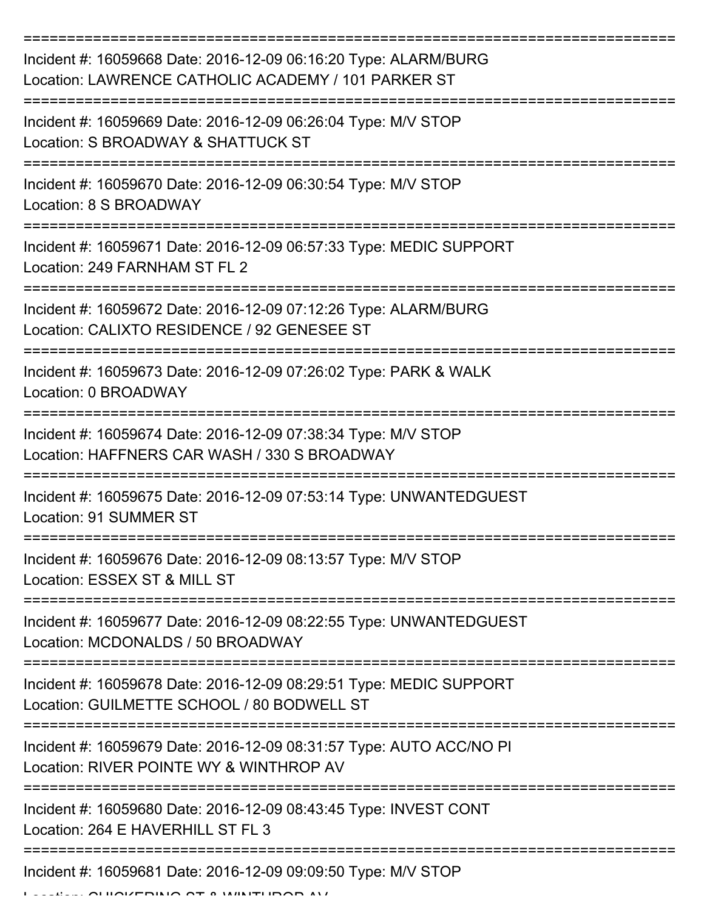| Incident #: 16059668 Date: 2016-12-09 06:16:20 Type: ALARM/BURG<br>Location: LAWRENCE CATHOLIC ACADEMY / 101 PARKER ST |
|------------------------------------------------------------------------------------------------------------------------|
| Incident #: 16059669 Date: 2016-12-09 06:26:04 Type: M/V STOP<br>Location: S BROADWAY & SHATTUCK ST                    |
| Incident #: 16059670 Date: 2016-12-09 06:30:54 Type: M/V STOP<br>Location: 8 S BROADWAY                                |
| Incident #: 16059671 Date: 2016-12-09 06:57:33 Type: MEDIC SUPPORT<br>Location: 249 FARNHAM ST FL 2                    |
| Incident #: 16059672 Date: 2016-12-09 07:12:26 Type: ALARM/BURG<br>Location: CALIXTO RESIDENCE / 92 GENESEE ST         |
| Incident #: 16059673 Date: 2016-12-09 07:26:02 Type: PARK & WALK<br>Location: 0 BROADWAY                               |
| Incident #: 16059674 Date: 2016-12-09 07:38:34 Type: M/V STOP<br>Location: HAFFNERS CAR WASH / 330 S BROADWAY          |
| Incident #: 16059675 Date: 2016-12-09 07:53:14 Type: UNWANTEDGUEST<br>Location: 91 SUMMER ST                           |
| Incident #: 16059676 Date: 2016-12-09 08:13:57 Type: M/V STOP<br>Location: ESSEX ST & MILL ST                          |
| Incident #: 16059677 Date: 2016-12-09 08:22:55 Type: UNWANTEDGUEST<br>Location: MCDONALDS / 50 BROADWAY                |
| Incident #: 16059678 Date: 2016-12-09 08:29:51 Type: MEDIC SUPPORT<br>Location: GUILMETTE SCHOOL / 80 BODWELL ST       |
| Incident #: 16059679 Date: 2016-12-09 08:31:57 Type: AUTO ACC/NO PI<br>Location: RIVER POINTE WY & WINTHROP AV         |
| Incident #: 16059680 Date: 2016-12-09 08:43:45 Type: INVEST CONT<br>Location: 264 E HAVERHILL ST FL 3                  |
| Incident #: 16059681 Date: 2016-12-09 09:09:50 Type: M/V STOP                                                          |

 $L_{\text{max}}$  CHICKERING ST & WINTHROP AVE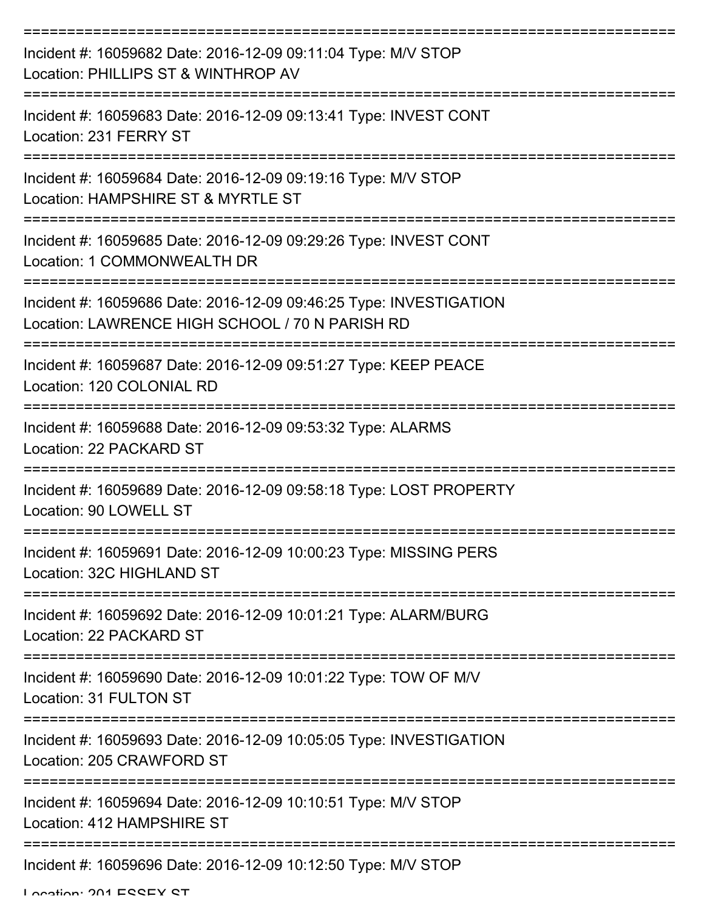| Incident #: 16059682 Date: 2016-12-09 09:11:04 Type: M/V STOP<br>Location: PHILLIPS ST & WINTHROP AV                                                     |
|----------------------------------------------------------------------------------------------------------------------------------------------------------|
| Incident #: 16059683 Date: 2016-12-09 09:13:41 Type: INVEST CONT<br>Location: 231 FERRY ST                                                               |
| Incident #: 16059684 Date: 2016-12-09 09:19:16 Type: M/V STOP<br>Location: HAMPSHIRE ST & MYRTLE ST                                                      |
| Incident #: 16059685 Date: 2016-12-09 09:29:26 Type: INVEST CONT<br>Location: 1 COMMONWEALTH DR                                                          |
| Incident #: 16059686 Date: 2016-12-09 09:46:25 Type: INVESTIGATION<br>Location: LAWRENCE HIGH SCHOOL / 70 N PARISH RD<br>;============================== |
| Incident #: 16059687 Date: 2016-12-09 09:51:27 Type: KEEP PEACE<br>Location: 120 COLONIAL RD                                                             |
| Incident #: 16059688 Date: 2016-12-09 09:53:32 Type: ALARMS<br>Location: 22 PACKARD ST                                                                   |
| Incident #: 16059689 Date: 2016-12-09 09:58:18 Type: LOST PROPERTY<br>Location: 90 LOWELL ST                                                             |
| Incident #: 16059691 Date: 2016-12-09 10:00:23 Type: MISSING PERS<br>Location: 32C HIGHLAND ST                                                           |
| Incident #: 16059692 Date: 2016-12-09 10:01:21 Type: ALARM/BURG<br>Location: 22 PACKARD ST                                                               |
| Incident #: 16059690 Date: 2016-12-09 10:01:22 Type: TOW OF M/V<br>Location: 31 FULTON ST                                                                |
| Incident #: 16059693 Date: 2016-12-09 10:05:05 Type: INVESTIGATION<br>Location: 205 CRAWFORD ST                                                          |
| Incident #: 16059694 Date: 2016-12-09 10:10:51 Type: M/V STOP<br>Location: 412 HAMPSHIRE ST                                                              |
| Incident #: 16059696 Date: 2016-12-09 10:12:50 Type: M/V STOP                                                                                            |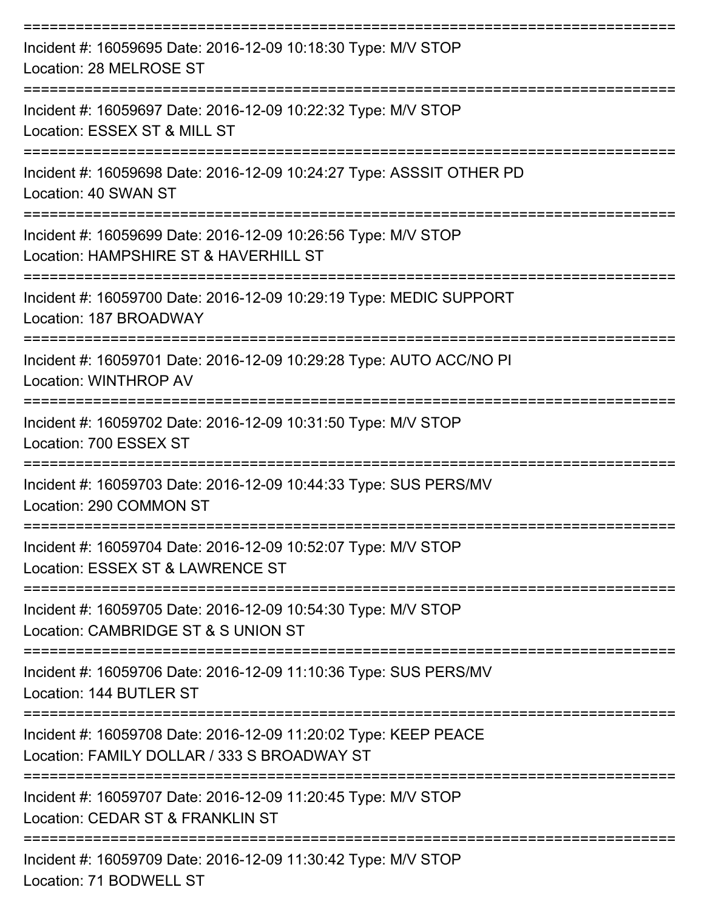| Incident #: 16059695 Date: 2016-12-09 10:18:30 Type: M/V STOP<br>Location: 28 MELROSE ST                       |
|----------------------------------------------------------------------------------------------------------------|
| Incident #: 16059697 Date: 2016-12-09 10:22:32 Type: M/V STOP<br>Location: ESSEX ST & MILL ST                  |
| Incident #: 16059698 Date: 2016-12-09 10:24:27 Type: ASSSIT OTHER PD<br>Location: 40 SWAN ST                   |
| Incident #: 16059699 Date: 2016-12-09 10:26:56 Type: M/V STOP<br>Location: HAMPSHIRE ST & HAVERHILL ST         |
| Incident #: 16059700 Date: 2016-12-09 10:29:19 Type: MEDIC SUPPORT<br>Location: 187 BROADWAY                   |
| Incident #: 16059701 Date: 2016-12-09 10:29:28 Type: AUTO ACC/NO PI<br>Location: WINTHROP AV                   |
| Incident #: 16059702 Date: 2016-12-09 10:31:50 Type: M/V STOP<br>Location: 700 ESSEX ST                        |
| Incident #: 16059703 Date: 2016-12-09 10:44:33 Type: SUS PERS/MV<br>Location: 290 COMMON ST                    |
| Incident #: 16059704 Date: 2016-12-09 10:52:07 Type: M/V STOP<br>Location: ESSEX ST & LAWRENCE ST              |
| Incident #: 16059705 Date: 2016-12-09 10:54:30 Type: M/V STOP<br>Location: CAMBRIDGE ST & S UNION ST           |
| Incident #: 16059706 Date: 2016-12-09 11:10:36 Type: SUS PERS/MV<br>Location: 144 BUTLER ST                    |
| Incident #: 16059708 Date: 2016-12-09 11:20:02 Type: KEEP PEACE<br>Location: FAMILY DOLLAR / 333 S BROADWAY ST |
| Incident #: 16059707 Date: 2016-12-09 11:20:45 Type: M/V STOP<br>Location: CEDAR ST & FRANKLIN ST              |
| Incident #: 16059709 Date: 2016-12-09 11:30:42 Type: M/V STOP<br>Location: 71 BODWELL ST                       |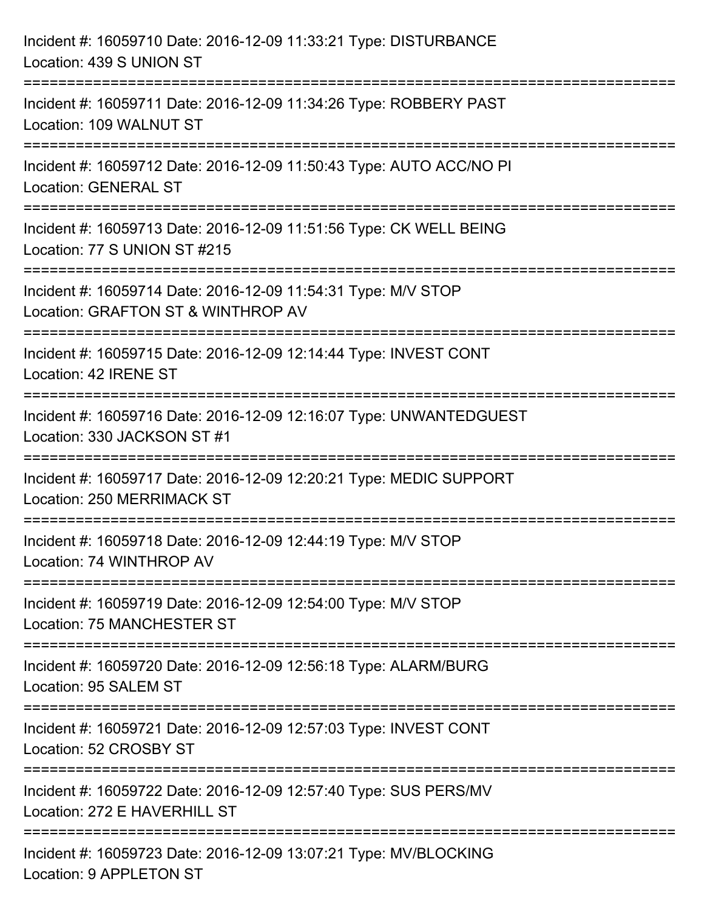| Incident #: 16059710 Date: 2016-12-09 11:33:21 Type: DISTURBANCE<br>Location: 439 S UNION ST                                        |
|-------------------------------------------------------------------------------------------------------------------------------------|
| :==================================<br>Incident #: 16059711 Date: 2016-12-09 11:34:26 Type: ROBBERY PAST<br>Location: 109 WALNUT ST |
| Incident #: 16059712 Date: 2016-12-09 11:50:43 Type: AUTO ACC/NO PI<br><b>Location: GENERAL ST</b>                                  |
| Incident #: 16059713 Date: 2016-12-09 11:51:56 Type: CK WELL BEING<br>Location: 77 S UNION ST #215                                  |
| Incident #: 16059714 Date: 2016-12-09 11:54:31 Type: M/V STOP<br>Location: GRAFTON ST & WINTHROP AV                                 |
| Incident #: 16059715 Date: 2016-12-09 12:14:44 Type: INVEST CONT<br>Location: 42 IRENE ST                                           |
| Incident #: 16059716 Date: 2016-12-09 12:16:07 Type: UNWANTEDGUEST<br>Location: 330 JACKSON ST #1                                   |
| Incident #: 16059717 Date: 2016-12-09 12:20:21 Type: MEDIC SUPPORT<br>Location: 250 MERRIMACK ST                                    |
| Incident #: 16059718 Date: 2016-12-09 12:44:19 Type: M/V STOP<br>Location: 74 WINTHROP AV                                           |
| Incident #: 16059719 Date: 2016-12-09 12:54:00 Type: M/V STOP<br>Location: 75 MANCHESTER ST                                         |
| Incident #: 16059720 Date: 2016-12-09 12:56:18 Type: ALARM/BURG<br>Location: 95 SALEM ST                                            |
| Incident #: 16059721 Date: 2016-12-09 12:57:03 Type: INVEST CONT<br>Location: 52 CROSBY ST                                          |
| Incident #: 16059722 Date: 2016-12-09 12:57:40 Type: SUS PERS/MV<br>Location: 272 E HAVERHILL ST<br>-------------------             |
| Incident #: 16059723 Date: 2016-12-09 13:07:21 Type: MV/BLOCKING<br><b>Location: 9 APPLETON ST</b>                                  |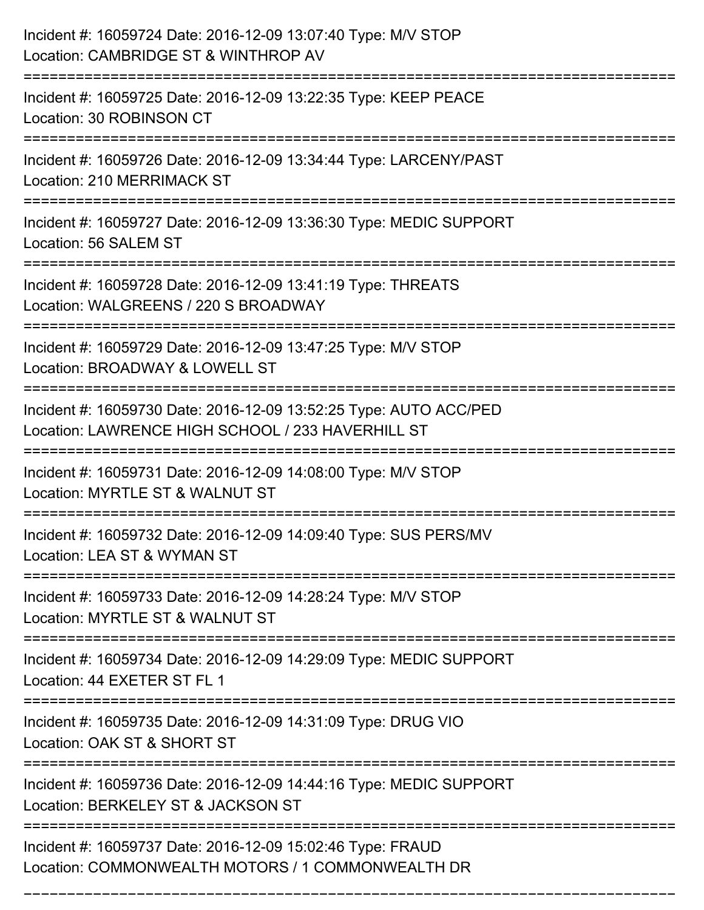| Incident #: 16059724 Date: 2016-12-09 13:07:40 Type: M/V STOP<br>Location: CAMBRIDGE ST & WINTHROP AV                  |
|------------------------------------------------------------------------------------------------------------------------|
| Incident #: 16059725 Date: 2016-12-09 13:22:35 Type: KEEP PEACE<br>Location: 30 ROBINSON CT                            |
| Incident #: 16059726 Date: 2016-12-09 13:34:44 Type: LARCENY/PAST<br><b>Location: 210 MERRIMACK ST</b>                 |
| Incident #: 16059727 Date: 2016-12-09 13:36:30 Type: MEDIC SUPPORT<br>Location: 56 SALEM ST                            |
| Incident #: 16059728 Date: 2016-12-09 13:41:19 Type: THREATS<br>Location: WALGREENS / 220 S BROADWAY                   |
| Incident #: 16059729 Date: 2016-12-09 13:47:25 Type: M/V STOP<br>Location: BROADWAY & LOWELL ST<br>===========         |
| Incident #: 16059730 Date: 2016-12-09 13:52:25 Type: AUTO ACC/PED<br>Location: LAWRENCE HIGH SCHOOL / 233 HAVERHILL ST |
| Incident #: 16059731 Date: 2016-12-09 14:08:00 Type: M/V STOP<br>Location: MYRTLE ST & WALNUT ST                       |
| Incident #: 16059732 Date: 2016-12-09 14:09:40 Type: SUS PERS/MV<br>Location: LEA ST & WYMAN ST                        |
| Incident #: 16059733 Date: 2016-12-09 14:28:24 Type: M/V STOP<br>Location: MYRTLE ST & WALNUT ST                       |
| Incident #: 16059734 Date: 2016-12-09 14:29:09 Type: MEDIC SUPPORT<br>Location: 44 EXETER ST FL 1                      |
| Incident #: 16059735 Date: 2016-12-09 14:31:09 Type: DRUG VIO<br>Location: OAK ST & SHORT ST                           |
| Incident #: 16059736 Date: 2016-12-09 14:44:16 Type: MEDIC SUPPORT<br>Location: BERKELEY ST & JACKSON ST               |
| Incident #: 16059737 Date: 2016-12-09 15:02:46 Type: FRAUD<br>Location: COMMONWEALTH MOTORS / 1 COMMONWEALTH DR        |

===========================================================================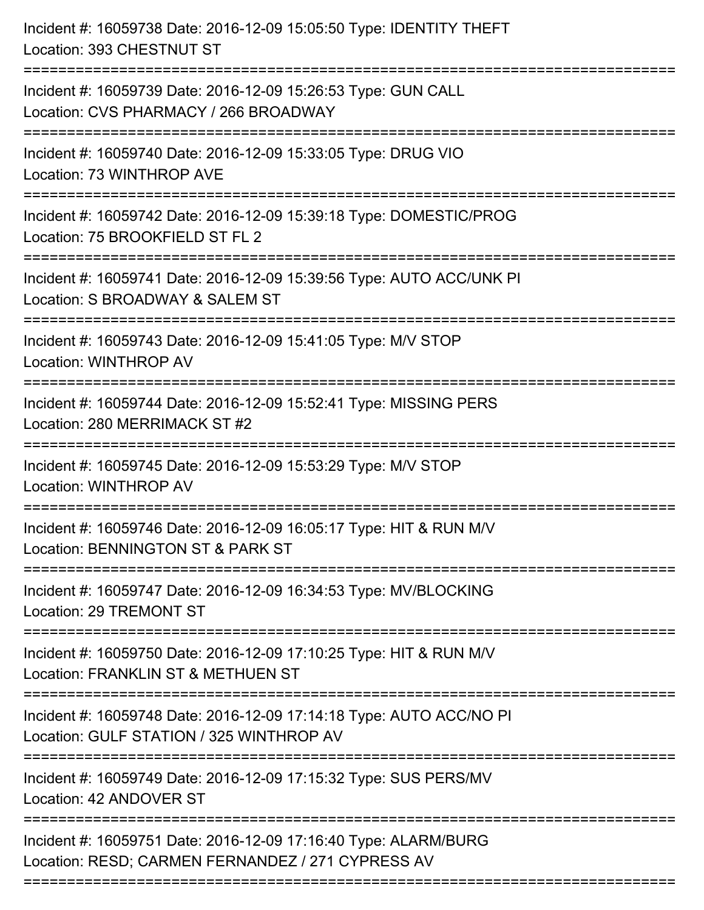| Incident #: 16059738 Date: 2016-12-09 15:05:50 Type: IDENTITY THEFT<br>Location: 393 CHESTNUT ST                                        |
|-----------------------------------------------------------------------------------------------------------------------------------------|
| Incident #: 16059739 Date: 2016-12-09 15:26:53 Type: GUN CALL<br>Location: CVS PHARMACY / 266 BROADWAY                                  |
| Incident #: 16059740 Date: 2016-12-09 15:33:05 Type: DRUG VIO<br>Location: 73 WINTHROP AVE<br>:=============================            |
| Incident #: 16059742 Date: 2016-12-09 15:39:18 Type: DOMESTIC/PROG<br>Location: 75 BROOKFIELD ST FL 2                                   |
| Incident #: 16059741 Date: 2016-12-09 15:39:56 Type: AUTO ACC/UNK PI<br>Location: S BROADWAY & SALEM ST                                 |
| Incident #: 16059743 Date: 2016-12-09 15:41:05 Type: M/V STOP<br><b>Location: WINTHROP AV</b>                                           |
| Incident #: 16059744 Date: 2016-12-09 15:52:41 Type: MISSING PERS<br>Location: 280 MERRIMACK ST #2<br>==============<br>=============== |
| Incident #: 16059745 Date: 2016-12-09 15:53:29 Type: M/V STOP<br>Location: WINTHROP AV                                                  |
| Incident #: 16059746 Date: 2016-12-09 16:05:17 Type: HIT & RUN M/V<br>Location: BENNINGTON ST & PARK ST                                 |
| Incident #: 16059747 Date: 2016-12-09 16:34:53 Type: MV/BLOCKING<br>Location: 29 TREMONT ST                                             |
| Incident #: 16059750 Date: 2016-12-09 17:10:25 Type: HIT & RUN M/V<br>Location: FRANKLIN ST & METHUEN ST                                |
| Incident #: 16059748 Date: 2016-12-09 17:14:18 Type: AUTO ACC/NO PI<br>Location: GULF STATION / 325 WINTHROP AV                         |
| Incident #: 16059749 Date: 2016-12-09 17:15:32 Type: SUS PERS/MV<br>Location: 42 ANDOVER ST                                             |
| Incident #: 16059751 Date: 2016-12-09 17:16:40 Type: ALARM/BURG<br>Location: RESD; CARMEN FERNANDEZ / 271 CYPRESS AV                    |
|                                                                                                                                         |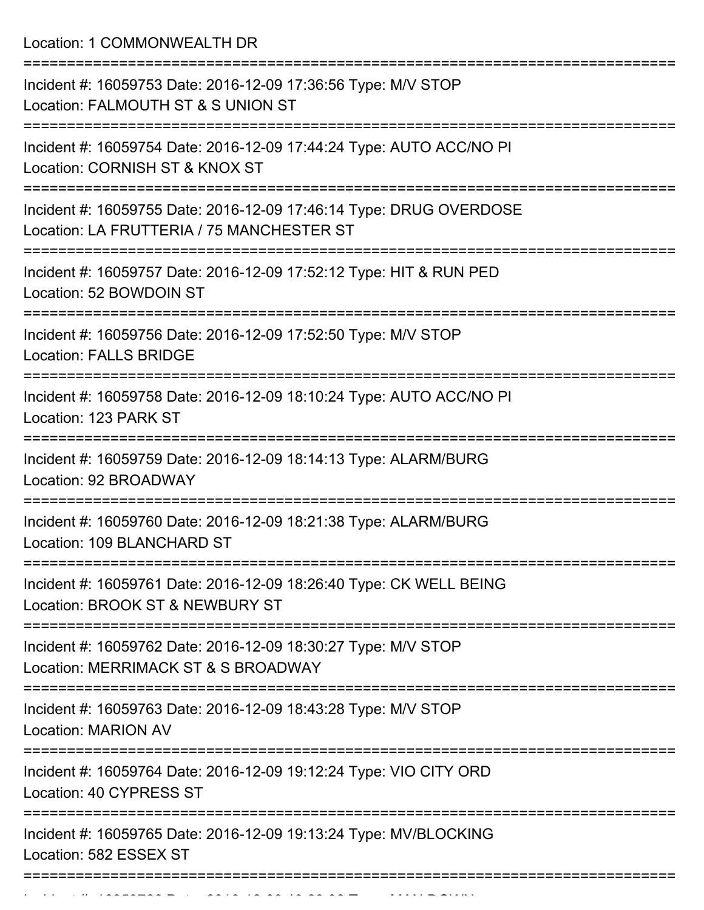Location: 1 COMMONWEALTH DR

| Incident #: 16059753 Date: 2016-12-09 17:36:56 Type: M/V STOP<br>Location: FALMOUTH ST & S UNION ST                                    |
|----------------------------------------------------------------------------------------------------------------------------------------|
| Incident #: 16059754 Date: 2016-12-09 17:44:24 Type: AUTO ACC/NO PI<br>Location: CORNISH ST & KNOX ST                                  |
| Incident #: 16059755 Date: 2016-12-09 17:46:14 Type: DRUG OVERDOSE<br>Location: LA FRUTTERIA / 75 MANCHESTER ST                        |
| Incident #: 16059757 Date: 2016-12-09 17:52:12 Type: HIT & RUN PED<br>Location: 52 BOWDOIN ST                                          |
| Incident #: 16059756 Date: 2016-12-09 17:52:50 Type: M/V STOP<br><b>Location: FALLS BRIDGE</b><br>==================================== |
| Incident #: 16059758 Date: 2016-12-09 18:10:24 Type: AUTO ACC/NO PI<br>Location: 123 PARK ST                                           |
| Incident #: 16059759 Date: 2016-12-09 18:14:13 Type: ALARM/BURG<br>Location: 92 BROADWAY                                               |
| Incident #: 16059760 Date: 2016-12-09 18:21:38 Type: ALARM/BURG<br>Location: 109 BLANCHARD ST                                          |
| Incident #: 16059761 Date: 2016-12-09 18:26:40 Type: CK WELL BEING<br>Location: BROOK ST & NEWBURY ST                                  |
| Incident #: 16059762 Date: 2016-12-09 18:30:27 Type: M/V STOP<br>Location: MERRIMACK ST & S BROADWAY                                   |
| Incident #: 16059763 Date: 2016-12-09 18:43:28 Type: M/V STOP<br><b>Location: MARION AV</b>                                            |
| Incident #: 16059764 Date: 2016-12-09 19:12:24 Type: VIO CITY ORD<br>Location: 40 CYPRESS ST                                           |
| Incident #: 16059765 Date: 2016-12-09 19:13:24 Type: MV/BLOCKING<br>Location: 582 ESSEX ST                                             |
|                                                                                                                                        |

Incident #: 16059766 Date: 2016 12 09 19:23:32 Type: MAN DOWN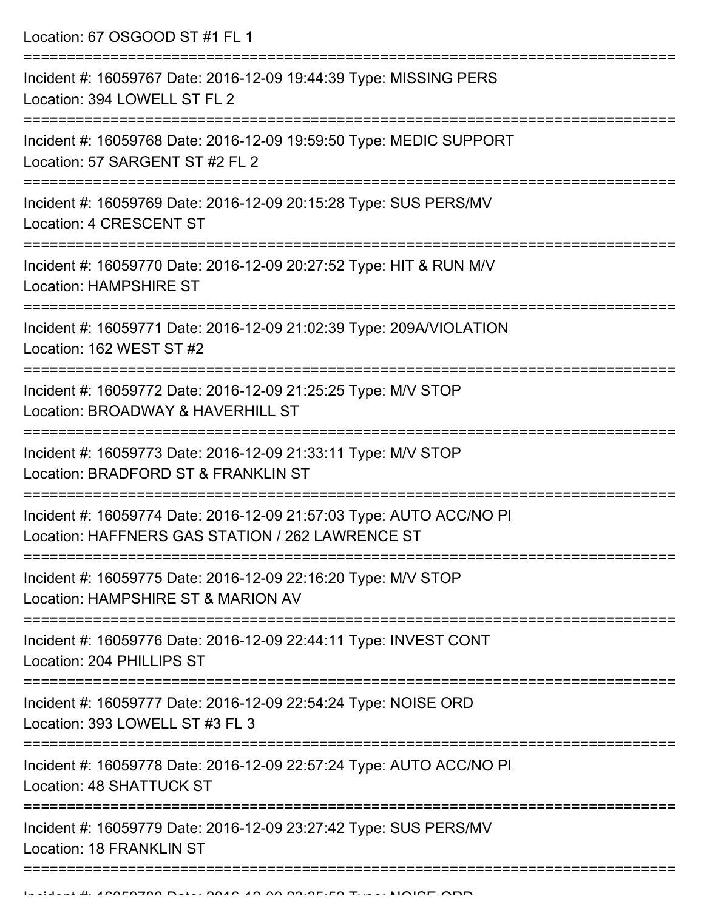Location: 67 OSGOOD ST #1 FL 1 =========================================================================== Incident #: 16059767 Date: 2016-12-09 19:44:39 Type: MISSING PERS Location: 394 LOWELL ST FL 2 =========================================================================== Incident #: 16059768 Date: 2016-12-09 19:59:50 Type: MEDIC SUPPORT Location: 57 SARGENT ST #2 FL 2 =========================================================================== Incident #: 16059769 Date: 2016-12-09 20:15:28 Type: SUS PERS/MV Location: 4 CRESCENT ST =========================================================================== Incident #: 16059770 Date: 2016-12-09 20:27:52 Type: HIT & RUN M/V Location: HAMPSHIRE ST =========================================================================== Incident #: 16059771 Date: 2016-12-09 21:02:39 Type: 209A/VIOLATION Location: 162 WEST ST #2 =========================================================================== Incident #: 16059772 Date: 2016-12-09 21:25:25 Type: M/V STOP Location: BROADWAY & HAVERHILL ST =========================================================================== Incident #: 16059773 Date: 2016-12-09 21:33:11 Type: M/V STOP Location: BRADFORD ST & FRANKLIN ST =========================================================================== Incident #: 16059774 Date: 2016-12-09 21:57:03 Type: AUTO ACC/NO PI Location: HAFFNERS GAS STATION / 262 LAWRENCE ST =========================================================================== Incident #: 16059775 Date: 2016-12-09 22:16:20 Type: M/V STOP Location: HAMPSHIRE ST & MARION AV =========================================================================== Incident #: 16059776 Date: 2016-12-09 22:44:11 Type: INVEST CONT Location: 204 PHILLIPS ST =========================================================================== Incident #: 16059777 Date: 2016-12-09 22:54:24 Type: NOISE ORD Location: 393 LOWELL ST #3 FL 3 =========================================================================== Incident #: 16059778 Date: 2016-12-09 22:57:24 Type: AUTO ACC/NO PI Location: 48 SHATTUCK ST =========================================================================== Incident #: 16059779 Date: 2016-12-09 23:27:42 Type: SUS PERS/MV Location: 18 FRANKLIN ST ===========================================================================